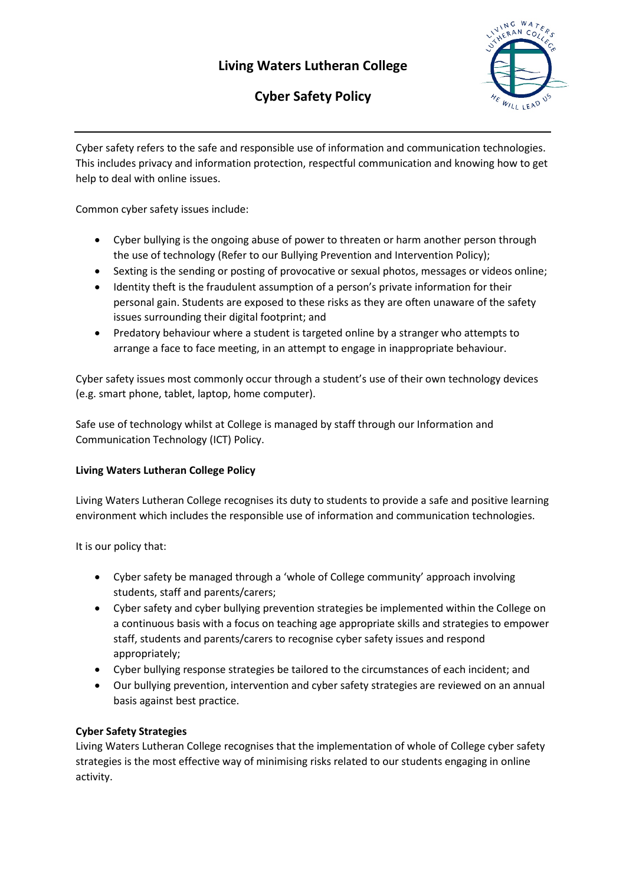# **Living Waters Lutheran College**



# **Cyber Safety Policy**

Cyber safety refers to the safe and responsible use of information and communication technologies. This includes privacy and information protection, respectful communication and knowing how to get help to deal with online issues.

Common cyber safety issues include:

- Cyber bullying is the ongoing abuse of power to threaten or harm another person through the use of technology (Refer to our Bullying Prevention and Intervention Policy);
- Sexting is the sending or posting of provocative or sexual photos, messages or videos online;
- Identity theft is the fraudulent assumption of a person's private information for their personal gain. Students are exposed to these risks as they are often unaware of the safety issues surrounding their digital footprint; and
- Predatory behaviour where a student is targeted online by a stranger who attempts to arrange a face to face meeting, in an attempt to engage in inappropriate behaviour.

Cyber safety issues most commonly occur through a student's use of their own technology devices (e.g. smart phone, tablet, laptop, home computer).

Safe use of technology whilst at College is managed by staff through our Information and Communication Technology (ICT) Policy.

## **Living Waters Lutheran College Policy**

Living Waters Lutheran College recognises its duty to students to provide a safe and positive learning environment which includes the responsible use of information and communication technologies.

It is our policy that:

- Cyber safety be managed through a 'whole of College community' approach involving students, staff and parents/carers;
- Cyber safety and cyber bullying prevention strategies be implemented within the College on a continuous basis with a focus on teaching age appropriate skills and strategies to empower staff, students and parents/carers to recognise cyber safety issues and respond appropriately;
- Cyber bullying response strategies be tailored to the circumstances of each incident; and
- Our bullying prevention, intervention and cyber safety strategies are reviewed on an annual basis against best practice.

## **Cyber Safety Strategies**

Living Waters Lutheran College recognises that the implementation of whole of College cyber safety strategies is the most effective way of minimising risks related to our students engaging in online activity.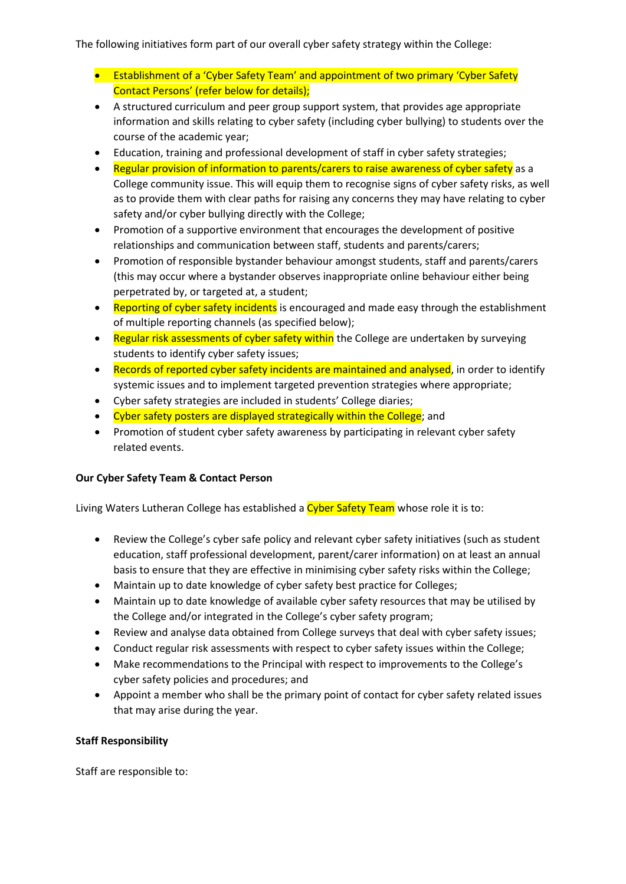The following initiatives form part of our overall cyber safety strategy within the College:

- Establishment of a 'Cyber Safety Team' and appointment of two primary 'Cyber Safety Contact Persons' (refer below for details);
- A structured curriculum and peer group support system, that provides age appropriate information and skills relating to cyber safety (including cyber bullying) to students over the course of the academic year;
- Education, training and professional development of staff in cyber safety strategies;
- Regular provision of information to parents/carers to raise awareness of cyber safety as a College community issue. This will equip them to recognise signs of cyber safety risks, as well as to provide them with clear paths for raising any concerns they may have relating to cyber safety and/or cyber bullying directly with the College;
- Promotion of a supportive environment that encourages the development of positive relationships and communication between staff, students and parents/carers;
- Promotion of responsible bystander behaviour amongst students, staff and parents/carers (this may occur where a bystander observes inappropriate online behaviour either being perpetrated by, or targeted at, a student;
- Reporting of cyber safety incidents is encouraged and made easy through the establishment of multiple reporting channels (as specified below);
- Regular risk assessments of cyber safety within the College are undertaken by surveying students to identify cyber safety issues;
- Records of reported cyber safety incidents are maintained and analysed, in order to identify systemic issues and to implement targeted prevention strategies where appropriate;
- Cyber safety strategies are included in students' College diaries;
- Cyber safety posters are displayed strategically within the College; and
- Promotion of student cyber safety awareness by participating in relevant cyber safety related events.

## **Our Cyber Safety Team & Contact Person**

Living Waters Lutheran College has established a Cyber Safety Team whose role it is to:

- Review the College's cyber safe policy and relevant cyber safety initiatives (such as student education, staff professional development, parent/carer information) on at least an annual basis to ensure that they are effective in minimising cyber safety risks within the College;
- Maintain up to date knowledge of cyber safety best practice for Colleges;
- Maintain up to date knowledge of available cyber safety resources that may be utilised by the College and/or integrated in the College's cyber safety program;
- Review and analyse data obtained from College surveys that deal with cyber safety issues;
- Conduct regular risk assessments with respect to cyber safety issues within the College;
- Make recommendations to the Principal with respect to improvements to the College's cyber safety policies and procedures; and
- Appoint a member who shall be the primary point of contact for cyber safety related issues that may arise during the year.

## **Staff Responsibility**

Staff are responsible to: